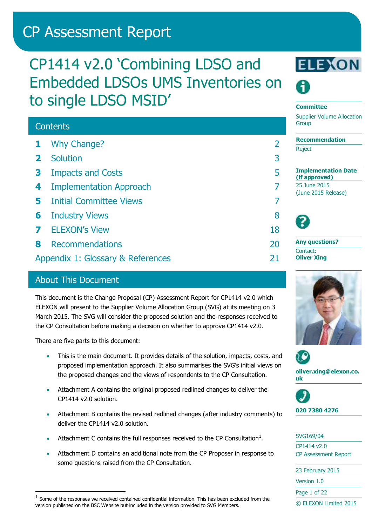# CP Assessment Report

# CP1414 v2.0 'Combining LDSO and Embedded LDSOs UMS Inventories on to single LDSO MSID'

## **Contents 1** Why [Change?](#page-1-0) 2 **2** [Solution](#page-2-0) 3 **3** [Impacts and Costs](#page-4-0) 5 **4** [Implementation Approach](#page-6-0) 7 **5** [Initial Committee Views](#page-6-1) 7 **6** [Industry Views](#page-7-0) 8 **7** [ELEXON's View](#page-17-0) 18 **8** [Recommendations](#page-19-0) 20 [Appendix 1: Glossary & References](#page-20-0) 21

## About This Document

This document is the Change Proposal (CP) Assessment Report for CP1414 v2.0 which ELEXON will present to the Supplier Volume Allocation Group (SVG) at its meeting on 3 March 2015. The SVG will consider the proposed solution and the responses received to the CP Consultation before making a decision on whether to approve CP1414 v2.0.

There are five parts to this document:

-

- This is the main document. It provides details of the solution, impacts, costs, and proposed implementation approach. It also summarises the SVG's initial views on the proposed changes and the views of respondents to the CP Consultation.
- Attachment A contains the original proposed redlined changes to deliver the CP1414 v2.0 solution.
- Attachment B contains the revised redlined changes (after industry comments) to deliver the CP1414 v2.0 solution.
- Attachment C contains the full responses received to the CP Consultation<sup>1</sup>.
- Attachment D contains an additional note from the CP Proposer in response to some questions raised from the CP Consultation.



#### **Committee**

Supplier Volume Allocation **Group** 

**Recommendation Reject** 

**Implementation Date (if approved)** 25 June 2015 (June 2015 Release)



**Any questions?** Contact: **Oliver Xing**





**oliver.xing@elexon.co. uk**



SVG169/04

CP1414 v2.0 CP Assessment Report

| 23 February 2015      |
|-----------------------|
| Version 1.0           |
| Page 1 of 22          |
| © ELEXON Limited 2015 |

 $<sup>1</sup>$  Some of the responses we received contained confidential information. This has been excluded from the</sup> version published on the BSC Website but included in the version provided to SVG Members.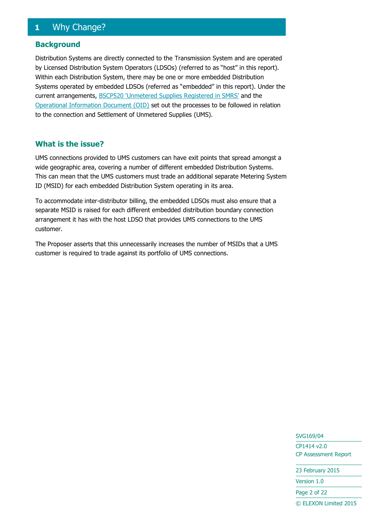## <span id="page-1-0"></span>**1** Why Change?

#### **Background**

Distribution Systems are directly connected to the Transmission System and are operated by Licensed Distribution System Operators (LDSOs) (referred to as "host" in this report). Within each Distribution System, there may be one or more embedded Distribution Systems operated by embedded LDSOs (referred as "embedded" in this report). Under the current arrangements, **[BSCP520 'Unmetered Supplies Registered in SMRS'](http://www.elexon.co.uk/bsc-related-documents/related-documents/bscps/?show=all)** and the [Operational Information Document \(OID\)](http://www.elexon.co.uk/reference/technical-operations/unmetered-supplies/charge-codes-and-switch-regimes/) set out the processes to be followed in relation to the connection and Settlement of Unmetered Supplies (UMS).

#### **What is the issue?**

UMS connections provided to UMS customers can have exit points that spread amongst a wide geographic area, covering a number of different embedded Distribution Systems. This can mean that the UMS customers must trade an additional separate Metering System ID (MSID) for each embedded Distribution System operating in its area.

To accommodate inter-distributor billing, the embedded LDSOs must also ensure that a separate MSID is raised for each different embedded distribution boundary connection arrangement it has with the host LDSO that provides UMS connections to the UMS customer.

The Proposer asserts that this unnecessarily increases the number of MSIDs that a UMS customer is required to trade against its portfolio of UMS connections.

## SVG169/04

CP1414 v2.0 CP Assessment Report

23 February 2015

Version 1.0

Page 2 of 22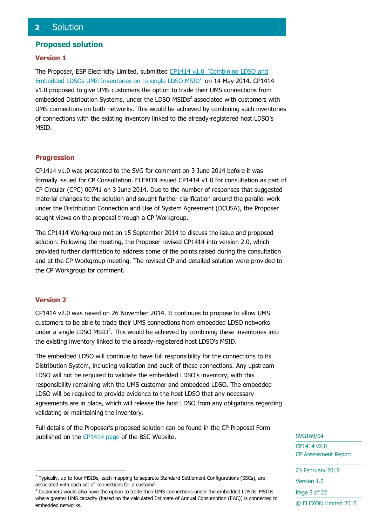#### <span id="page-2-0"></span>**Proposed solution**

#### **Version 1**

The Proposer, ESP Electricity Limited, submitted CP1414 v1.0 'Combining LDSO and [Embedded LDSOs UMS Inventories on to single LDSO MSID'](http://www.elexon.co.uk/change-proposal/cp1414/) on 14 May 2014. CP1414 v1.0 proposed to give UMS customers the option to trade their UMS connections from embedded Distribution Systems, under the LDSO  $MSIDS<sup>2</sup>$  associated with customers with UMS connections on both networks. This would be achieved by combining such inventories of connections with the existing inventory linked to the already-registered host LDSO's MSID.

#### **Progression**

CP1414 v1.0 was presented to the SVG for comment on 3 June 2014 before it was formally issued for CP Consultation. ELEXON issued CP1414 v1.0 for consultation as part of CP Circular (CPC) 00741 on 3 June 2014. Due to the number of responses that suggested material changes to the solution and sought further clarification around the parallel work under the Distribution Connection and Use of System Agreement (DCUSA), the Proposer sought views on the proposal through a CP Workgroup.

The CP1414 Workgroup met on 15 September 2014 to discuss the issue and proposed solution. Following the meeting, the Proposer revised CP1414 into version 2.0, which provided further clarification to address some of the points raised during the consultation and at the CP Workgroup meeting. The revised CP and detailed solution were provided to the CP Workgroup for comment.

#### **Version 2**

-

CP1414 v2.0 was raised on 26 November 2014. It continues to propose to allow UMS customers to be able to trade their UMS connections from embedded LDSO networks under a single LDSO  $MSID<sup>3</sup>$ . This would be achieved by combining these inventories into the existing inventory linked to the already-registered host LDSO's MSID.

The embedded LDSO will continue to have full responsibility for the connections to its Distribution System, including validation and audit of these connections. Any upstream LDSO will not be required to validate the embedded LDSO's inventory, with this responsibility remaining with the UMS customer and embedded LDSO. The embedded LDSO will be required to provide evidence to the host LDSO that any necessary agreements are in place, which will release the host LDSO from any obligations regarding validating or maintaining the inventory.

Full details of the Proposer's proposed solution can be found in the CP Proposal Form published on the [CP1414 page](https://www.elexon.co.uk/change-proposal/cp1414) of the BSC Website.

SVG169/04

CP1414 v2.0 CP Assessment Report

23 February 2015

Version 1.0

Page 3 of 22

<sup>&</sup>lt;sup>2</sup> Typically, up to four MSIDs, each mapping to separate Standard Settlement Configurations (SSCs), are associated with each set of connections for a customer.

<sup>&</sup>lt;sup>3</sup> Customers would also have the option to trade their UMS connections under the embedded LDSOs' MSIDs where greater UMS capacity (based on the calculated Estimate of Annual Consumption (EAC)) is connected to embedded networks.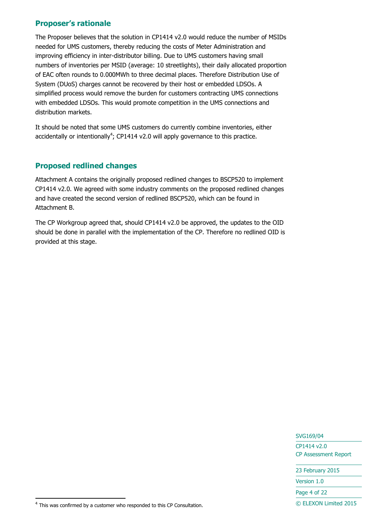## **Proposer's rationale**

The Proposer believes that the solution in CP1414 v2.0 would reduce the number of MSIDs needed for UMS customers, thereby reducing the costs of Meter Administration and improving efficiency in inter-distributor billing. Due to UMS customers having small numbers of inventories per MSID (average: 10 streetlights), their daily allocated proportion of EAC often rounds to 0.000MWh to three decimal places. Therefore Distribution Use of System (DUoS) charges cannot be recovered by their host or embedded LDSOs. A simplified process would remove the burden for customers contracting UMS connections with embedded LDSOs. This would promote competition in the UMS connections and distribution markets.

It should be noted that some UMS customers do currently combine inventories, either accidentally or intentionally<sup>4</sup>; CP1414 v2.0 will apply governance to this practice.

## **Proposed redlined changes**

Attachment A contains the originally proposed redlined changes to BSCP520 to implement CP1414 v2.0. We agreed with some industry comments on the proposed redlined changes and have created the second version of redlined BSCP520, which can be found in Attachment B.

The CP Workgroup agreed that, should CP1414 v2.0 be approved, the updates to the OID should be done in parallel with the implementation of the CP. Therefore no redlined OID is provided at this stage.

SVG169/04

CP1414 v2.0 CP Assessment Report

23 February 2015

Version 1.0

Page 4 of 22

© ELEXON Limited 2015

-

 $4$  This was confirmed by a customer who responded to this CP Consultation.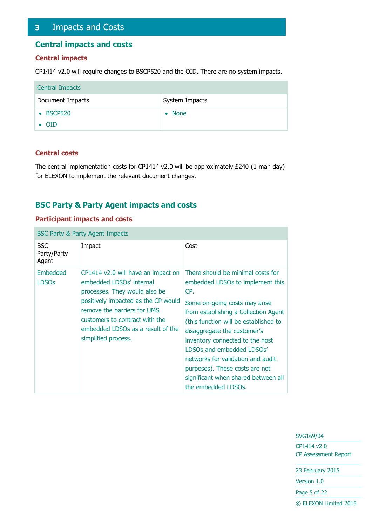## <span id="page-4-0"></span>**3** Impacts and Costs

#### **Central impacts and costs**

#### **Central impacts**

CP1414 v2.0 will require changes to BSCP520 and the OID. There are no system impacts.

| <b>Central Impacts</b> |                          |
|------------------------|--------------------------|
| Document Impacts       | System Impacts           |
| • BSCP520              | <b>None</b><br>$\bullet$ |
| $\bullet$ OID          |                          |

#### **Central costs**

The central implementation costs for CP1414 v2.0 will be approximately £240 (1 man day) for ELEXON to implement the relevant document changes.

### **BSC Party & Party Agent impacts and costs**

#### **Participant impacts and costs**

| <b>BSC Party &amp; Party Agent Impacts</b> |                                                                                                                                                                                                                                                                     |                                                                                                                                                                                                                                                                                                                                                                                                                                    |  |  |
|--------------------------------------------|---------------------------------------------------------------------------------------------------------------------------------------------------------------------------------------------------------------------------------------------------------------------|------------------------------------------------------------------------------------------------------------------------------------------------------------------------------------------------------------------------------------------------------------------------------------------------------------------------------------------------------------------------------------------------------------------------------------|--|--|
| <b>BSC</b><br>Party/Party<br>Agent         | Impact                                                                                                                                                                                                                                                              | Cost                                                                                                                                                                                                                                                                                                                                                                                                                               |  |  |
| Embedded<br><b>LDSOs</b>                   | CP1414 v2.0 will have an impact on<br>embedded LDSOs' internal<br>processes. They would also be<br>positively impacted as the CP would<br>remove the barriers for UMS<br>customers to contract with the<br>embedded LDSOs as a result of the<br>simplified process. | There should be minimal costs for<br>embedded LDSOs to implement this<br>CP.<br>Some on-going costs may arise<br>from establishing a Collection Agent<br>(this function will be established to<br>disaggregate the customer's<br>inventory connected to the host<br>LDSOs and embedded LDSOs'<br>networks for validation and audit<br>purposes). These costs are not<br>significant when shared between all<br>the embedded LDSOs. |  |  |

#### SVG169/04

CP1414 v2.0 CP Assessment Report

23 February 2015

Version 1.0

Page 5 of 22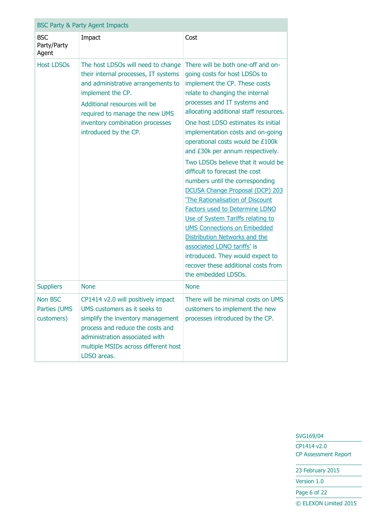|                                       | <b>BSC Party &amp; Party Agent Impacts</b>                                                                                                                                                                                                                          |                                                                                                                                                                                                                                                                                                                                                                                                                                                                                                                                                                                                                                                                                                                                                                                                                                                      |  |  |  |
|---------------------------------------|---------------------------------------------------------------------------------------------------------------------------------------------------------------------------------------------------------------------------------------------------------------------|------------------------------------------------------------------------------------------------------------------------------------------------------------------------------------------------------------------------------------------------------------------------------------------------------------------------------------------------------------------------------------------------------------------------------------------------------------------------------------------------------------------------------------------------------------------------------------------------------------------------------------------------------------------------------------------------------------------------------------------------------------------------------------------------------------------------------------------------------|--|--|--|
| <b>BSC</b><br>Party/Party<br>Agent    | Impact                                                                                                                                                                                                                                                              | Cost                                                                                                                                                                                                                                                                                                                                                                                                                                                                                                                                                                                                                                                                                                                                                                                                                                                 |  |  |  |
| <b>Host LDSOs</b>                     | The host LDSOs will need to change<br>their internal processes, IT systems<br>and administrative arrangements to<br>implement the CP.<br>Additional resources will be<br>required to manage the new UMS<br>inventory combination processes<br>introduced by the CP. | There will be both one-off and on-<br>going costs for host LDSOs to<br>implement the CP. These costs<br>relate to changing the internal<br>processes and IT systems and<br>allocating additional staff resources.<br>One host LDSO estimates its initial<br>implementation costs and on-going<br>operational costs would be £100k<br>and £30k per annum respectively.<br>Two LDSOs believe that it would be<br>difficult to forecast the cost<br>numbers until the corresponding<br><b>DCUSA Change Proposal (DCP) 203</b><br>'The Rationalisation of Discount<br><b>Factors used to Determine LDNO</b><br>Use of System Tariffs relating to<br><b>UMS Connections on Embedded</b><br>Distribution Networks and the<br>associated LDNO tariffs' is<br>introduced. They would expect to<br>recover these additional costs from<br>the embedded LDSOs. |  |  |  |
| <b>Suppliers</b>                      | <b>None</b>                                                                                                                                                                                                                                                         | <b>None</b>                                                                                                                                                                                                                                                                                                                                                                                                                                                                                                                                                                                                                                                                                                                                                                                                                                          |  |  |  |
| Non BSC<br>Parties (UMS<br>customers) | CP1414 v2.0 will positively impact<br>UMS customers as it seeks to<br>simplify the inventory management<br>process and reduce the costs and<br>administration associated with<br>multiple MSIDs across different host<br>LDSO areas.                                | There will be minimal costs on UMS<br>customers to implement the new<br>processes introduced by the CP.                                                                                                                                                                                                                                                                                                                                                                                                                                                                                                                                                                                                                                                                                                                                              |  |  |  |

CP1414 v2.0 CP Assessment Report

23 February 2015

Version 1.0

Page 6 of 22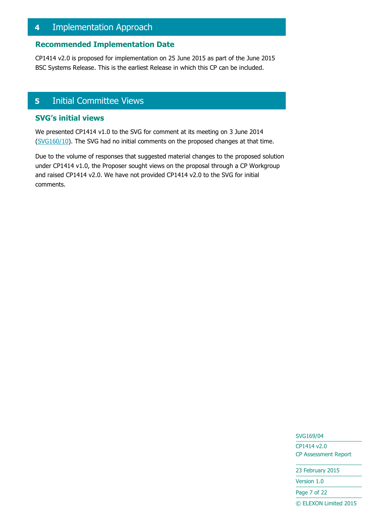## <span id="page-6-0"></span>**4** Implementation Approach

#### **Recommended Implementation Date**

CP1414 v2.0 is proposed for implementation on 25 June 2015 as part of the June 2015 BSC Systems Release. This is the earliest Release in which this CP can be included.

## <span id="page-6-1"></span>**5** Initial Committee Views

#### **SVG's initial views**

We presented CP1414 v1.0 to the SVG for comment at its meeting on 3 June 2014 [\(SVG160/10\)](http://www.elexon.co.uk/meeting/svg-160/). The SVG had no initial comments on the proposed changes at that time.

Due to the volume of responses that suggested material changes to the proposed solution under CP1414 v1.0, the Proposer sought views on the proposal through a CP Workgroup and raised CP1414 v2.0. We have not provided CP1414 v2.0 to the SVG for initial comments.

SVG169/04

CP1414 v2.0 CP Assessment Report

23 February 2015

Version 1.0

Page 7 of 22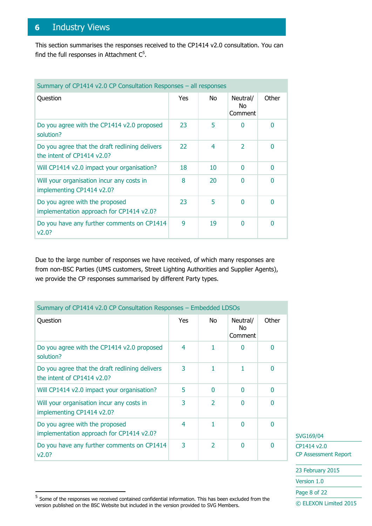## <span id="page-7-0"></span>**6** Industry Views

This section summarises the responses received to the CP1414 v2.0 consultation. You can find the full responses in Attachment  $C^5$ .

| Summary of CP1414 v2.0 CP Consultation Responses - all responses              |     |                |                            |       |
|-------------------------------------------------------------------------------|-----|----------------|----------------------------|-------|
| Question                                                                      | Yes | No.            | Neutral/<br>No.<br>Comment | Other |
| Do you agree with the CP1414 v2.0 proposed<br>solution?                       | 23  | 5              | $\Omega$                   | 0     |
| Do you agree that the draft redlining delivers<br>the intent of $CP1414v2.0?$ | 22  | $\overline{4}$ | $\mathcal{P}$              | 0     |
| Will CP1414 v2.0 impact your organisation?                                    | 18  | 10             | $\Omega$                   | 0     |
| Will your organisation incur any costs in<br>implementing CP1414 v2.0?        | 8   | 20             | $\Omega$                   | 0     |
| Do you agree with the proposed<br>implementation approach for CP1414 v2.0?    | 23  | 5              | $\Omega$                   | 0     |
| Do you have any further comments on CP1414<br>v2.0?                           | 9   | 19             | $\Omega$                   | 0     |

Due to the large number of responses we have received, of which many responses are from non-BSC Parties (UMS customers, Street Lighting Authorities and Supplier Agents), we provide the CP responses summarised by different Party types.

| Summary of CP1414 v2.0 CP Consultation Responses - Embedded LDSOs            |     |                |                            |       |
|------------------------------------------------------------------------------|-----|----------------|----------------------------|-------|
| Question                                                                     | Yes | No.            | Neutral/<br>No.<br>Comment | Other |
| Do you agree with the CP1414 v2.0 proposed<br>solution?                      | 4   | 1              | N                          | 0     |
| Do you agree that the draft redlining delivers<br>the intent of CP1414 v2.0? | 3   | 1              | 1                          | 0     |
| Will CP1414 v2.0 impact your organisation?                                   | 5   | $\Omega$       | O                          | 0     |
| Will your organisation incur any costs in<br>implementing CP1414 v2.0?       | 3   | $\mathcal{P}$  | U                          | 0     |
| Do you agree with the proposed<br>implementation approach for CP1414 v2.0?   | 4   | 1              | N                          | 0     |
| Do you have any further comments on CP1414<br>v2.0?                          | 3   | $\overline{2}$ | 0                          | 0     |

SVG169/04

Page 8 of 22

CP1414 v2.0 CP Assessment Report

23 February 2015 Version 1.0

-

<sup>&</sup>lt;sup>5</sup> Some of the responses we received contained confidential information. This has been excluded from the version published on the BSC Website but included in the version provided to SVG Members.

<sup>©</sup> ELEXON Limited 2015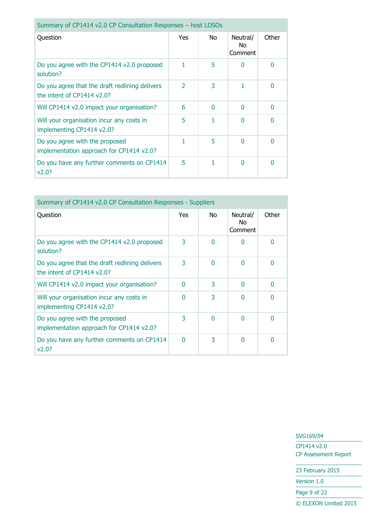| Summary of CP1414 v2.0 CP Consultation Responses - host LDSOs                |                          |          |                            |          |
|------------------------------------------------------------------------------|--------------------------|----------|----------------------------|----------|
| Question                                                                     | Yes                      | No       | Neutral/<br>No.<br>Comment | Other    |
| Do you agree with the CP1414 v2.0 proposed<br>solution?                      |                          | 5        | n                          | 0        |
| Do you agree that the draft redlining delivers<br>the intent of CP1414 v2.0? | $\overline{\phantom{a}}$ | 3        |                            | 0        |
| Will CP1414 v2.0 impact your organisation?                                   | 6                        | $\Omega$ | 0                          | $\Omega$ |
| Will your organisation incur any costs in<br>implementing CP1414 v2.0?       | 5                        |          | <sup>0</sup>               | $\Omega$ |
| Do you agree with the proposed<br>implementation approach for CP1414 v2.0?   | 1                        | 5        | 0                          | $\Omega$ |
| Do you have any further comments on CP1414<br>v2.0?                          | 5                        |          | 0                          | $\Omega$ |

| Summary of CP1414 v2.0 CP Consultation Responses - Suppliers                  |          |          |                            |       |
|-------------------------------------------------------------------------------|----------|----------|----------------------------|-------|
| Question                                                                      | Yes      | No.      | Neutral/<br>No.<br>Comment | Other |
| Do you agree with the CP1414 v2.0 proposed<br>solution?                       | 3        | $\Omega$ | O                          | 0     |
| Do you agree that the draft redlining delivers<br>the intent of $CP1414v2.0?$ | 3        | $\Omega$ | ∩                          | 0     |
| Will CP1414 v2.0 impact your organisation?                                    | ∩        | 3        | ŋ                          | 0     |
| Will your organisation incur any costs in<br>implementing CP1414 v2.0?        | 0        | 3        | ŋ                          | 0     |
| Do you agree with the proposed<br>implementation approach for CP1414 v2.0?    | 3        | $\Omega$ | O                          | 0     |
| Do you have any further comments on CP1414<br>V2.0?                           | $\Omega$ | 3        | ŋ                          | 0     |

CP1414 v2.0 CP Assessment Report

23 February 2015

Version 1.0

Page 9 of 22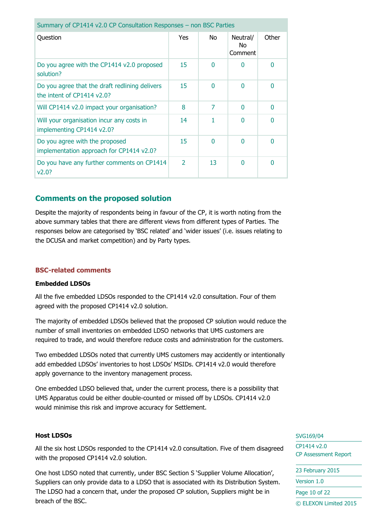| Summary of CP1414 v2.0 CP Consultation Responses - non BSC Parties           |                |          |                            |       |
|------------------------------------------------------------------------------|----------------|----------|----------------------------|-------|
| Question                                                                     | Yes            | No.      | Neutral/<br>No.<br>Comment | Other |
| Do you agree with the CP1414 v2.0 proposed<br>solution?                      | 15             | $\Omega$ | O                          | 0     |
| Do you agree that the draft redlining delivers<br>the intent of CP1414 v2.0? | 15             | $\Omega$ | 0                          | 0     |
| Will CP1414 v2.0 impact your organisation?                                   | 8              | 7        | 0                          | 0     |
| Will your organisation incur any costs in<br>implementing CP1414 v2.0?       | 14             |          | 0                          | 0     |
| Do you agree with the proposed<br>implementation approach for CP1414 v2.0?   | 15             | $\Omega$ | 0                          | 0     |
| Do you have any further comments on CP1414<br>V2.0?                          | $\overline{2}$ | 13       | $\Omega$                   | 0     |

#### **Comments on the proposed solution**

Despite the majority of respondents being in favour of the CP, it is worth noting from the above summary tables that there are different views from different types of Parties. The responses below are categorised by 'BSC related' and 'wider issues' (i.e. issues relating to the DCUSA and market competition) and by Party types.

#### **BSC-related comments**

#### **Embedded LDSOs**

All the five embedded LDSOs responded to the CP1414 v2.0 consultation. Four of them agreed with the proposed CP1414 v2.0 solution.

The majority of embedded LDSOs believed that the proposed CP solution would reduce the number of small inventories on embedded LDSO networks that UMS customers are required to trade, and would therefore reduce costs and administration for the customers.

Two embedded LDSOs noted that currently UMS customers may accidently or intentionally add embedded LDSOs' inventories to host LDSOs' MSIDs. CP1414 v2.0 would therefore apply governance to the inventory management process.

One embedded LDSO believed that, under the current process, there is a possibility that UMS Apparatus could be either double-counted or missed off by LDSOs. CP1414 v2.0 would minimise this risk and improve accuracy for Settlement.

#### **Host LDSOs**

All the six host LDSOs responded to the CP1414 v2.0 consultation. Five of them disagreed with the proposed CP1414 v2.0 solution.

One host LDSO noted that currently, under BSC Section S 'Supplier Volume Allocation', Suppliers can only provide data to a LDSO that is associated with its Distribution System. The LDSO had a concern that, under the proposed CP solution, Suppliers might be in breach of the BSC.

#### SVG169/04

CP1414 v2.0 CP Assessment Report

| 23 February 2015      |
|-----------------------|
| Version 1.0           |
| Page 10 of 22         |
| C ELEXON Limited 2015 |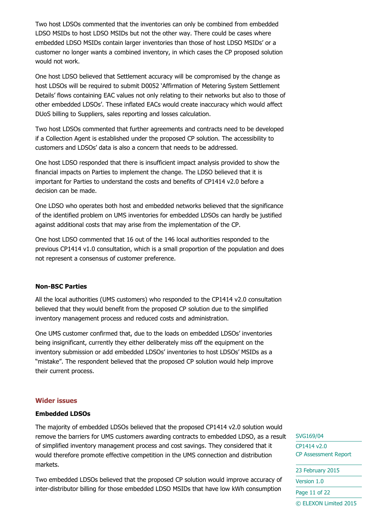Two host LDSOs commented that the inventories can only be combined from embedded LDSO MSIDs to host LDSO MSIDs but not the other way. There could be cases where embedded LDSO MSIDs contain larger inventories than those of host LDSO MSIDs' or a customer no longer wants a combined inventory, in which cases the CP proposed solution would not work.

One host LDSO believed that Settlement accuracy will be compromised by the change as host LDSOs will be required to submit D0052 'Affirmation of Metering System Settlement Details' flows containing EAC values not only relating to their networks but also to those of other embedded LDSOs'. These inflated EACs would create inaccuracy which would affect DUoS billing to Suppliers, sales reporting and losses calculation.

Two host LDSOs commented that further agreements and contracts need to be developed if a Collection Agent is established under the proposed CP solution. The accessibility to customers and LDSOs' data is also a concern that needs to be addressed.

One host LDSO responded that there is insufficient impact analysis provided to show the financial impacts on Parties to implement the change. The LDSO believed that it is important for Parties to understand the costs and benefits of CP1414 v2.0 before a decision can be made.

One LDSO who operates both host and embedded networks believed that the significance of the identified problem on UMS inventories for embedded LDSOs can hardly be justified against additional costs that may arise from the implementation of the CP.

One host LDSO commented that 16 out of the 146 local authorities responded to the previous CP1414 v1.0 consultation, which is a small proportion of the population and does not represent a consensus of customer preference.

#### **Non-BSC Parties**

All the local authorities (UMS customers) who responded to the CP1414 v2.0 consultation believed that they would benefit from the proposed CP solution due to the simplified inventory management process and reduced costs and administration.

One UMS customer confirmed that, due to the loads on embedded LDSOs' inventories being insignificant, currently they either deliberately miss off the equipment on the inventory submission or add embedded LDSOs' inventories to host LDSOs' MSIDs as a "mistake". The respondent believed that the proposed CP solution would help improve their current process.

#### **Wider issues**

#### **Embedded LDSOs**

The majority of embedded LDSOs believed that the proposed CP1414 v2.0 solution would remove the barriers for UMS customers awarding contracts to embedded LDSO, as a result of simplified inventory management process and cost savings. They considered that it would therefore promote effective competition in the UMS connection and distribution markets.

Two embedded LDSOs believed that the proposed CP solution would improve accuracy of inter-distributor billing for those embedded LDSO MSIDs that have low kWh consumption

SVG169/04 CP1414 v2.0 CP Assessment Report

23 February 2015 Version 1.0 Page 11 of 22 © ELEXON Limited 2015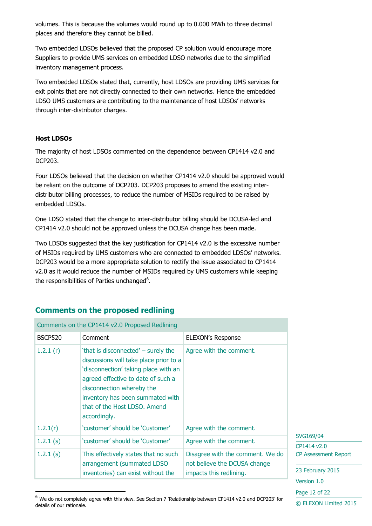volumes. This is because the volumes would round up to 0.000 MWh to three decimal places and therefore they cannot be billed.

Two embedded LDSOs believed that the proposed CP solution would encourage more Suppliers to provide UMS services on embedded LDSO networks due to the simplified inventory management process.

Two embedded LDSOs stated that, currently, host LDSOs are providing UMS services for exit points that are not directly connected to their own networks. Hence the embedded LDSO UMS customers are contributing to the maintenance of host LDSOs' networks through inter-distributor charges.

#### **Host LDSOs**

-

The majority of host LDSOs commented on the dependence between CP1414 v2.0 and DCP203.

Four LDSOs believed that the decision on whether CP1414 v2.0 should be approved would be reliant on the outcome of DCP203. DCP203 proposes to amend the existing interdistributor billing processes, to reduce the number of MSIDs required to be raised by embedded LDSOs.

One LDSO stated that the change to inter-distributor billing should be DCUSA-led and CP1414 v2.0 should not be approved unless the DCUSA change has been made.

Two LDSOs suggested that the key justification for CP1414 v2.0 is the excessive number of MSIDs required by UMS customers who are connected to embedded LDSOs' networks. DCP203 would be a more appropriate solution to rectify the issue associated to CP1414 v2.0 as it would reduce the number of MSIDs required by UMS customers while keeping the responsibilities of Parties unchanged $6$ .

### **Comments on the proposed redlining**

|                | Comments on the CP1414 v2.0 Proposed Redlining                                                                                                                                                                                                                               |                                                                  |                             |
|----------------|------------------------------------------------------------------------------------------------------------------------------------------------------------------------------------------------------------------------------------------------------------------------------|------------------------------------------------------------------|-----------------------------|
| <b>BSCP520</b> | Comment                                                                                                                                                                                                                                                                      | <b>ELEXON's Response</b>                                         |                             |
| 1.2.1(r)       | 'that is disconnected' – surely the<br>discussions will take place prior to a<br>'disconnection' taking place with an<br>agreed effective to date of such a<br>disconnection whereby the<br>inventory has been summated with<br>that of the Host LDSO. Amend<br>accordingly. | Agree with the comment.                                          |                             |
| 1.2.1(r)       | 'customer' should be 'Customer'                                                                                                                                                                                                                                              | Agree with the comment.                                          |                             |
| 1.2.1(s)       | 'customer' should be 'Customer'                                                                                                                                                                                                                                              | Agree with the comment.                                          | SVG169/04<br>CP1414 v2.0    |
| $1.2.1$ (s)    | This effectively states that no such<br>arrangement (summated LDSO                                                                                                                                                                                                           | Disagree with the comment. We do<br>not believe the DCUSA change | <b>CP Assessment Report</b> |
|                | inventories) can exist without the                                                                                                                                                                                                                                           | impacts this redlining.                                          | 23 February 2015            |
|                |                                                                                                                                                                                                                                                                              |                                                                  | Version 1.0                 |

Page 12 of 22

 $6$  We do not completely agree with this view. See Section 7 'Relationship between CP1414 v2.0 and DCP203' for details of our rationale.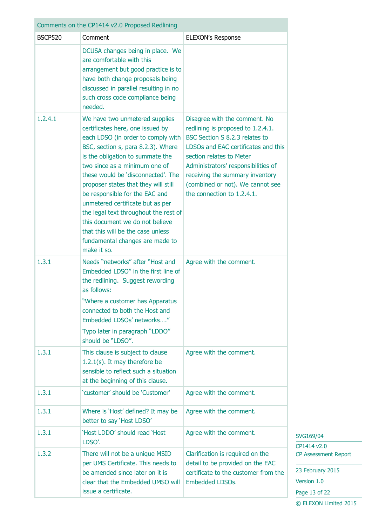| Comments on the CP1414 v2.0 Proposed Redlining |                                                                                                                                                                                                                                                                                                                                                                                                                                                                                                                                            |                                                                                                                                                                                                                                                                                                                     |  |
|------------------------------------------------|--------------------------------------------------------------------------------------------------------------------------------------------------------------------------------------------------------------------------------------------------------------------------------------------------------------------------------------------------------------------------------------------------------------------------------------------------------------------------------------------------------------------------------------------|---------------------------------------------------------------------------------------------------------------------------------------------------------------------------------------------------------------------------------------------------------------------------------------------------------------------|--|
| <b>BSCP520</b>                                 | Comment                                                                                                                                                                                                                                                                                                                                                                                                                                                                                                                                    | <b>ELEXON's Response</b>                                                                                                                                                                                                                                                                                            |  |
|                                                | DCUSA changes being in place. We<br>are comfortable with this<br>arrangement but good practice is to<br>have both change proposals being<br>discussed in parallel resulting in no<br>such cross code compliance being<br>needed.                                                                                                                                                                                                                                                                                                           |                                                                                                                                                                                                                                                                                                                     |  |
| 1,2,4,1                                        | We have two unmetered supplies<br>certificates here, one issued by<br>each LDSO (in order to comply with<br>BSC, section s, para 8.2.3). Where<br>is the obligation to summate the<br>two since as a minimum one of<br>these would be 'disconnected'. The<br>proposer states that they will still<br>be responsible for the EAC and<br>unmetered certificate but as per<br>the legal text throughout the rest of<br>this document we do not believe<br>that this will be the case unless<br>fundamental changes are made to<br>make it so. | Disagree with the comment. No<br>redlining is proposed to 1.2.4.1.<br>BSC Section S 8.2.3 relates to<br>LDSOs and EAC certificates and this<br>section relates to Meter<br>Administrators' responsibilities of<br>receiving the summary inventory<br>(combined or not). We cannot see<br>the connection to 1.2.4.1. |  |
| 1.3.1                                          | Needs "networks" after "Host and<br>Embedded LDSO" in the first line of<br>the redlining. Suggest rewording<br>as follows:<br>"Where a customer has Apparatus<br>connected to both the Host and<br>Embedded LDSOs' networks"<br>Typo later in paragraph "LDDO"<br>should be "LDSO".                                                                                                                                                                                                                                                        | Agree with the comment.                                                                                                                                                                                                                                                                                             |  |
| 1.3.1                                          | This clause is subject to clause<br>$1.2.1(s)$ . It may therefore be<br>sensible to reflect such a situation<br>at the beginning of this clause.                                                                                                                                                                                                                                                                                                                                                                                           | Agree with the comment.                                                                                                                                                                                                                                                                                             |  |
| 1.3.1                                          | 'customer' should be 'Customer'                                                                                                                                                                                                                                                                                                                                                                                                                                                                                                            | Agree with the comment.                                                                                                                                                                                                                                                                                             |  |
| 1.3.1                                          | Where is 'Host' defined? It may be<br>better to say 'Host LDSO'                                                                                                                                                                                                                                                                                                                                                                                                                                                                            | Agree with the comment.                                                                                                                                                                                                                                                                                             |  |
| 1.3.1                                          | 'Host LDDO' should read 'Host<br>LDSO'.                                                                                                                                                                                                                                                                                                                                                                                                                                                                                                    | Agree with the comment.                                                                                                                                                                                                                                                                                             |  |
| 1.3.2                                          | There will not be a unique MSID<br>per UMS Certificate. This needs to<br>be amended since later on it is<br>clear that the Embedded UMSO will<br>issue a certificate.                                                                                                                                                                                                                                                                                                                                                                      | Clarification is required on the<br>detail to be provided on the EAC<br>certificate to the customer from the<br>Embedded LDSOs.                                                                                                                                                                                     |  |

SVG169/04 CP1414 v2.0 CP Assessment Report

23 February 2015 Version 1.0 Page 13 of 22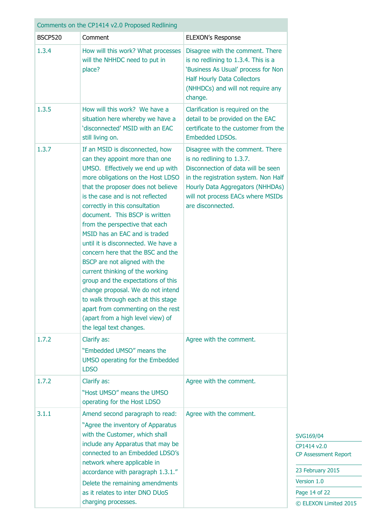| Comments on the CP1414 v2.0 Proposed Redlining |                                                                                                                                                                                                                                                                                                                                                                                                                                                                                                                                                                                                                                                                                                                                   |                                                                                                                                                                                                                                           |  |
|------------------------------------------------|-----------------------------------------------------------------------------------------------------------------------------------------------------------------------------------------------------------------------------------------------------------------------------------------------------------------------------------------------------------------------------------------------------------------------------------------------------------------------------------------------------------------------------------------------------------------------------------------------------------------------------------------------------------------------------------------------------------------------------------|-------------------------------------------------------------------------------------------------------------------------------------------------------------------------------------------------------------------------------------------|--|
| <b>BSCP520</b>                                 | Comment                                                                                                                                                                                                                                                                                                                                                                                                                                                                                                                                                                                                                                                                                                                           | ELEXON's Response                                                                                                                                                                                                                         |  |
| 1.3.4                                          | How will this work? What processes<br>will the NHHDC need to put in<br>place?                                                                                                                                                                                                                                                                                                                                                                                                                                                                                                                                                                                                                                                     | Disagree with the comment. There<br>is no redlining to 1.3.4. This is a<br>'Business As Usual' process for Non<br><b>Half Hourly Data Collectors</b><br>(NHHDCs) and will not require any<br>change.                                      |  |
| 1.3.5                                          | How will this work? We have a<br>situation here whereby we have a<br>'disconnected' MSID with an EAC<br>still living on.                                                                                                                                                                                                                                                                                                                                                                                                                                                                                                                                                                                                          | Clarification is required on the<br>detail to be provided on the EAC<br>certificate to the customer from the<br><b>Embedded LDSOs.</b>                                                                                                    |  |
| 1.3.7                                          | If an MSID is disconnected, how<br>can they appoint more than one<br>UMSO. Effectively we end up with<br>more obligations on the Host LDSO<br>that the proposer does not believe<br>is the case and is not reflected<br>correctly in this consultation<br>document. This BSCP is written<br>from the perspective that each<br>MSID has an EAC and is traded<br>until it is disconnected. We have a<br>concern here that the BSC and the<br>BSCP are not aligned with the<br>current thinking of the working<br>group and the expectations of this<br>change proposal. We do not intend<br>to walk through each at this stage<br>apart from commenting on the rest<br>(apart from a high level view) of<br>the legal text changes. | Disagree with the comment. There<br>is no redlining to 1.3.7.<br>Disconnection of data will be seen<br>in the registration system. Non Half<br>Hourly Data Aggregators (NHHDAs)<br>will not process EACs where MSIDs<br>are disconnected. |  |
| 1.7.2                                          | Clarify as:<br>"Embedded UMSO" means the<br>UMSO operating for the Embedded<br><b>LDSO</b>                                                                                                                                                                                                                                                                                                                                                                                                                                                                                                                                                                                                                                        | Agree with the comment.                                                                                                                                                                                                                   |  |
| 1.7.2                                          | Clarify as:<br>"Host UMSO" means the UMSO<br>operating for the Host LDSO                                                                                                                                                                                                                                                                                                                                                                                                                                                                                                                                                                                                                                                          | Agree with the comment.                                                                                                                                                                                                                   |  |
| 3.1.1                                          | Amend second paragraph to read:<br>"Agree the inventory of Apparatus<br>with the Customer, which shall<br>include any Apparatus that may be<br>connected to an Embedded LDSO's<br>network where applicable in<br>accordance with paragraph 1.3.1."<br>Delete the remaining amendments<br>as it relates to inter DNO DUoS<br>charging processes.                                                                                                                                                                                                                                                                                                                                                                                   | Agree with the comment.                                                                                                                                                                                                                   |  |

CP1414 v2.0 CP Assessment Report

23 February 2015

Version 1.0

Page 14 of 22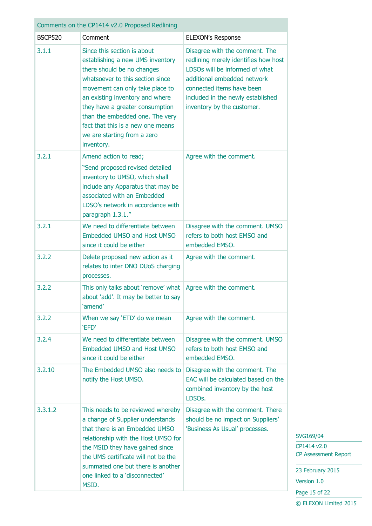| Comments on the CP1414 v2.0 Proposed Redlining |                                                                                                                                                                                                                                                                                                                                                                 |                                                                                                                                                                                                                                         |  |
|------------------------------------------------|-----------------------------------------------------------------------------------------------------------------------------------------------------------------------------------------------------------------------------------------------------------------------------------------------------------------------------------------------------------------|-----------------------------------------------------------------------------------------------------------------------------------------------------------------------------------------------------------------------------------------|--|
| <b>BSCP520</b>                                 | Comment                                                                                                                                                                                                                                                                                                                                                         | <b>ELEXON's Response</b>                                                                                                                                                                                                                |  |
| 3.1.1                                          | Since this section is about<br>establishing a new UMS inventory<br>there should be no changes<br>whatsoever to this section since<br>movement can only take place to<br>an existing inventory and where<br>they have a greater consumption<br>than the embedded one. The very<br>fact that this is a new one means<br>we are starting from a zero<br>inventory. | Disagree with the comment. The<br>redlining merely identifies how host<br>LDSOs will be informed of what<br>additional embedded network<br>connected items have been<br>included in the newly established<br>inventory by the customer. |  |
| 3.2.1                                          | Amend action to read;<br>"Send proposed revised detailed<br>inventory to UMSO, which shall<br>include any Apparatus that may be<br>associated with an Embedded<br>LDSO's network in accordance with<br>paragraph 1.3.1."                                                                                                                                        | Agree with the comment.                                                                                                                                                                                                                 |  |
| 3.2.1                                          | We need to differentiate between<br>Embedded UMSO and Host UMSO<br>since it could be either                                                                                                                                                                                                                                                                     | Disagree with the comment. UMSO<br>refers to both host EMSO and<br>embedded EMSO.                                                                                                                                                       |  |
| 3.2.2                                          | Delete proposed new action as it<br>relates to inter DNO DUoS charging<br>processes.                                                                                                                                                                                                                                                                            | Agree with the comment.                                                                                                                                                                                                                 |  |
| 3.2.2                                          | This only talks about 'remove' what   Agree with the comment.<br>about 'add'. It may be better to say<br>'amend'                                                                                                                                                                                                                                                |                                                                                                                                                                                                                                         |  |
| 3.2.2                                          | When we say 'ETD' do we mean<br>'EFD'                                                                                                                                                                                                                                                                                                                           | Agree with the comment.                                                                                                                                                                                                                 |  |
| 3.2.4                                          | We need to differentiate between<br>Embedded UMSO and Host UMSO<br>since it could be either                                                                                                                                                                                                                                                                     | Disagree with the comment. UMSO<br>refers to both host EMSO and<br>embedded EMSO.                                                                                                                                                       |  |
| 3.2.10                                         | The Embedded UMSO also needs to<br>notify the Host UMSO.                                                                                                                                                                                                                                                                                                        | Disagree with the comment. The<br>EAC will be calculated based on the<br>combined inventory by the host<br>LDSO <sub>s</sub> .                                                                                                          |  |
| 3.3.1.2                                        | This needs to be reviewed whereby<br>a change of Supplier understands<br>that there is an Embedded UMSO<br>relationship with the Host UMSO for<br>the MSID they have gained since<br>the UMS certificate will not be the<br>summated one but there is another<br>one linked to a 'disconnected'<br>MSID.                                                        | Disagree with the comment. There<br>should be no impact on Suppliers'<br>'Business As Usual' processes.                                                                                                                                 |  |

CP1414 v2.0 CP Assessment Report

23 February 2015

Version 1.0

Page 15 of 22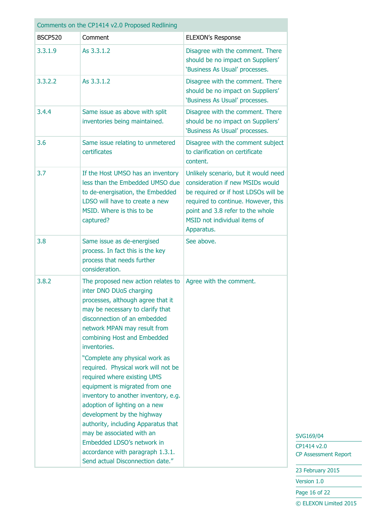| Comments on the CP1414 v2.0 Proposed Redlining |                                                                                                                                                                                                                                                                                                                                                                                                                                                                                                                                                                                                                                                                                  |                                                                                                                                                                                                                                           |  |
|------------------------------------------------|----------------------------------------------------------------------------------------------------------------------------------------------------------------------------------------------------------------------------------------------------------------------------------------------------------------------------------------------------------------------------------------------------------------------------------------------------------------------------------------------------------------------------------------------------------------------------------------------------------------------------------------------------------------------------------|-------------------------------------------------------------------------------------------------------------------------------------------------------------------------------------------------------------------------------------------|--|
| <b>BSCP520</b>                                 | Comment<br><b>ELEXON's Response</b>                                                                                                                                                                                                                                                                                                                                                                                                                                                                                                                                                                                                                                              |                                                                                                                                                                                                                                           |  |
| 3.3.1.9                                        | As 3.3.1.2                                                                                                                                                                                                                                                                                                                                                                                                                                                                                                                                                                                                                                                                       | Disagree with the comment. There<br>should be no impact on Suppliers'<br>'Business As Usual' processes.                                                                                                                                   |  |
| 3.3.2.2                                        | As 3.3.1.2                                                                                                                                                                                                                                                                                                                                                                                                                                                                                                                                                                                                                                                                       | Disagree with the comment. There<br>should be no impact on Suppliers'<br>'Business As Usual' processes.                                                                                                                                   |  |
| 3.4.4                                          | Same issue as above with split<br>inventories being maintained.                                                                                                                                                                                                                                                                                                                                                                                                                                                                                                                                                                                                                  | Disagree with the comment. There<br>should be no impact on Suppliers'<br>'Business As Usual' processes.                                                                                                                                   |  |
| 3.6                                            | Same issue relating to unmetered<br>certificates                                                                                                                                                                                                                                                                                                                                                                                                                                                                                                                                                                                                                                 | Disagree with the comment subject<br>to clarification on certificate<br>content.                                                                                                                                                          |  |
| 3.7                                            | If the Host UMSO has an inventory<br>less than the Embedded UMSO due<br>to de-energisation, the Embedded<br>LDSO will have to create a new<br>MSID. Where is this to be<br>captured?                                                                                                                                                                                                                                                                                                                                                                                                                                                                                             | Unlikely scenario, but it would need<br>consideration if new MSIDs would<br>be required or if host LDSOs will be<br>required to continue. However, this<br>point and 3.8 refer to the whole<br>MSID not individual items of<br>Apparatus. |  |
| 3.8                                            | Same issue as de-energised<br>process. In fact this is the key<br>process that needs further<br>consideration.                                                                                                                                                                                                                                                                                                                                                                                                                                                                                                                                                                   | See above.                                                                                                                                                                                                                                |  |
| 3.8.2                                          | The proposed new action relates to<br>inter DNO DUoS charging<br>processes, although agree that it<br>may be necessary to clarify that<br>disconnection of an embedded<br>network MPAN may result from<br>combining Host and Embedded<br>inventories.<br>"Complete any physical work as<br>required. Physical work will not be<br>required where existing UMS<br>equipment is migrated from one<br>inventory to another inventory, e.g.<br>adoption of lighting on a new<br>development by the highway<br>authority, including Apparatus that<br>may be associated with an<br>Embedded LDSO's network in<br>accordance with paragraph 1.3.1.<br>Send actual Disconnection date." | Agree with the comment.                                                                                                                                                                                                                   |  |

CP1414 v2.0 CP Assessment Report

23 February 2015

Version 1.0

Page 16 of 22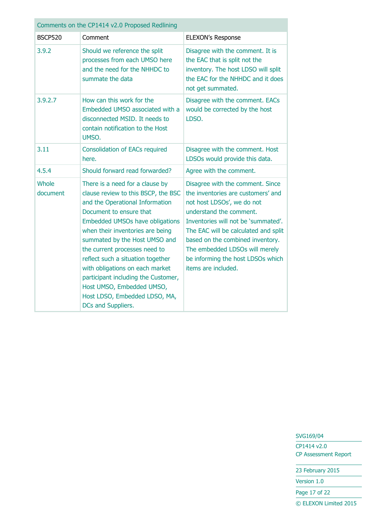| Comments on the CP1414 v2.0 Proposed Redlining |                                                                                                                                                                                                                                                                                                                                                                                                                                                                                         |                                                                                                                                                                                                                                                                                                                                                  |  |
|------------------------------------------------|-----------------------------------------------------------------------------------------------------------------------------------------------------------------------------------------------------------------------------------------------------------------------------------------------------------------------------------------------------------------------------------------------------------------------------------------------------------------------------------------|--------------------------------------------------------------------------------------------------------------------------------------------------------------------------------------------------------------------------------------------------------------------------------------------------------------------------------------------------|--|
| <b>BSCP520</b>                                 | Comment                                                                                                                                                                                                                                                                                                                                                                                                                                                                                 | <b>ELEXON's Response</b>                                                                                                                                                                                                                                                                                                                         |  |
| 3.9.2                                          | Should we reference the split<br>processes from each UMSO here<br>and the need for the NHHDC to<br>summate the data                                                                                                                                                                                                                                                                                                                                                                     | Disagree with the comment. It is<br>the EAC that is split not the<br>inventory. The host LDSO will split<br>the EAC for the NHHDC and it does<br>not get summated.                                                                                                                                                                               |  |
| 3.9.2.7                                        | How can this work for the<br>Embedded UMSO associated with a<br>disconnected MSID. It needs to<br>contain notification to the Host<br>UMSO.                                                                                                                                                                                                                                                                                                                                             | Disagree with the comment. EACs<br>would be corrected by the host<br>LDSO.                                                                                                                                                                                                                                                                       |  |
| 3.11                                           | <b>Consolidation of EACs required</b><br>here.                                                                                                                                                                                                                                                                                                                                                                                                                                          | Disagree with the comment. Host<br>LDSOs would provide this data.                                                                                                                                                                                                                                                                                |  |
| 4.5.4                                          | Should forward read forwarded?                                                                                                                                                                                                                                                                                                                                                                                                                                                          | Agree with the comment.                                                                                                                                                                                                                                                                                                                          |  |
| Whole<br>document                              | There is a need for a clause by<br>clause review to this BSCP, the BSC<br>and the Operational Information<br>Document to ensure that<br><b>Embedded UMSOs have obligations</b><br>when their inventories are being<br>summated by the Host UMSO and<br>the current processes need to<br>reflect such a situation together<br>with obligations on each market<br>participant including the Customer,<br>Host UMSO, Embedded UMSO,<br>Host LDSO, Embedded LDSO, MA,<br>DCs and Suppliers. | Disagree with the comment. Since<br>the inventories are customers' and<br>not host LDSOs', we do not<br>understand the comment.<br>Inventories will not be 'summated'.<br>The EAC will be calculated and split<br>based on the combined inventory.<br>The embedded LDSOs will merely<br>be informing the host LDSOs which<br>items are included. |  |

CP1414 v2.0 CP Assessment Report

23 February 2015

Version 1.0

Page 17 of 22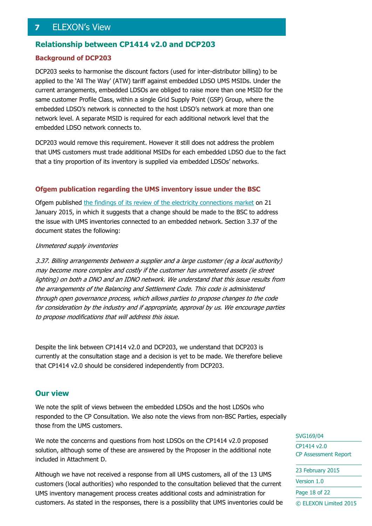## <span id="page-17-0"></span>**7** ELEXON's View

#### **Relationship between CP1414 v2.0 and DCP203**

#### **Background of DCP203**

DCP203 seeks to harmonise the discount factors (used for inter-distributor billing) to be applied to the 'All The Way' (ATW) tariff against embedded LDSO UMS MSIDs. Under the current arrangements, embedded LDSOs are obliged to raise more than one MSID for the same customer Profile Class, within a single Grid Supply Point (GSP) Group, where the embedded LDSO's network is connected to the host LDSO's network at more than one network level. A separate MSID is required for each additional network level that the embedded LDSO network connects to.

DCP203 would remove this requirement. However it still does not address the problem that UMS customers must trade additional MSIDs for each embedded LDSO due to the fact that a tiny proportion of its inventory is supplied via embedded LDSOs' networks.

#### **Ofgem publication regarding the UMS inventory issue under the BSC**

Ofgem published [the findings of its review of the electricity connections market](https://www.ofgem.gov.uk/publications-and-updates/findings-our-review-electricity-connections-market) on 21 January 2015, in which it suggests that a change should be made to the BSC to address the issue with UMS inventories connected to an embedded network. Section 3.37 of the document states the following:

#### Unmetered supply inventories

3.37. Billing arrangements between a supplier and a large customer (eg a local authority) may become more complex and costly if the customer has unmetered assets (ie street lighting) on both a DNO and an IDNO network. We understand that this issue results from the arrangements of the Balancing and Settlement Code. This code is administered through open governance process, which allows parties to propose changes to the code for consideration by the industry and if appropriate, approval by us. We encourage parties to propose modifications that will address this issue.

Despite the link between CP1414 v2.0 and DCP203, we understand that DCP203 is currently at the consultation stage and a decision is yet to be made. We therefore believe that CP1414 v2.0 should be considered independently from DCP203.

#### **Our view**

We note the split of views between the embedded LDSOs and the host LDSOs who responded to the CP Consultation. We also note the views from non-BSC Parties, especially those from the UMS customers.

We note the concerns and questions from host LDSOs on the CP1414 v2.0 proposed solution, although some of these are answered by the Proposer in the additional note included in Attachment D.

Although we have not received a response from all UMS customers, all of the 13 UMS customers (local authorities) who responded to the consultation believed that the current UMS inventory management process creates additional costs and administration for customers. As stated in the responses, there is a possibility that UMS inventories could be SVG169/04

CP1414 v2.0 CP Assessment Report

23 February 2015 Version 1.0 Page 18 of 22 © ELEXON Limited 2015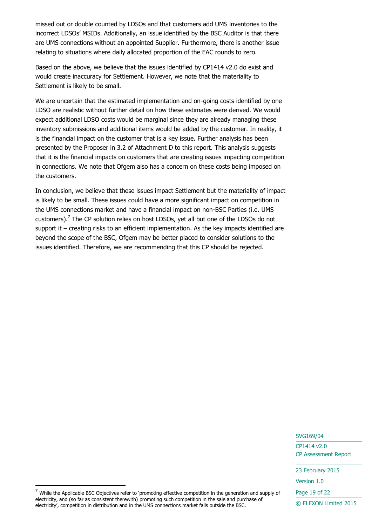missed out or double counted by LDSOs and that customers add UMS inventories to the incorrect LDSOs' MSIDs. Additionally, an issue identified by the BSC Auditor is that there are UMS connections without an appointed Supplier. Furthermore, there is another issue relating to situations where daily allocated proportion of the EAC rounds to zero.

Based on the above, we believe that the issues identified by CP1414 v2.0 do exist and would create inaccuracy for Settlement. However, we note that the materiality to Settlement is likely to be small.

We are uncertain that the estimated implementation and on-going costs identified by one LDSO are realistic without further detail on how these estimates were derived. We would expect additional LDSO costs would be marginal since they are already managing these inventory submissions and additional items would be added by the customer. In reality, it is the financial impact on the customer that is a key issue. Further analysis has been presented by the Proposer in 3.2 of Attachment D to this report. This analysis suggests that it is the financial impacts on customers that are creating issues impacting competition in connections. We note that Ofgem also has a concern on these costs being imposed on the customers.

In conclusion, we believe that these issues impact Settlement but the materiality of impact is likely to be small. These issues could have a more significant impact on competition in the UMS connections market and have a financial impact on non-BSC Parties (i.e. UMS customers). $<sup>7</sup>$  The CP solution relies on host LDSOs, yet all but one of the LDSOs do not</sup> support it – creating risks to an efficient implementation. As the key impacts identified are beyond the scope of the BSC, Ofgem may be better placed to consider solutions to the issues identified. Therefore, we are recommending that this CP should be rejected.

SVG169/04

CP1414 v2.0 CP Assessment Report

23 February 2015

Version 1.0

Page 19 of 22

-

 $<sup>7</sup>$  While the Applicable BSC Objectives refer to 'promoting effective competition in the generation and supply of</sup> electricity, and (so far as consistent therewith) promoting such competition in the sale and purchase of electricity', competition in distribution and in the UMS connections market falls outside the BSC.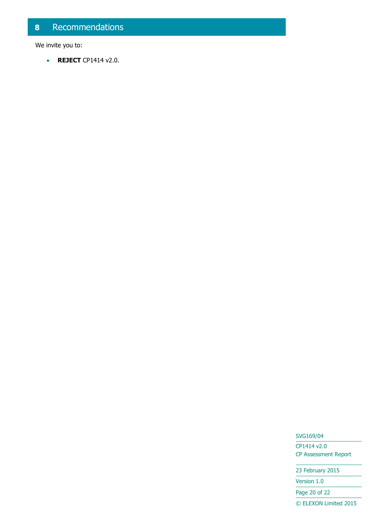## <span id="page-19-0"></span>**8** Recommendations

We invite you to:

**REJECT** CP1414 v2.0.

#### SVG169/04

CP1414 v2.0 CP Assessment Report

23 February 2015

Version 1.0

Page 20 of 22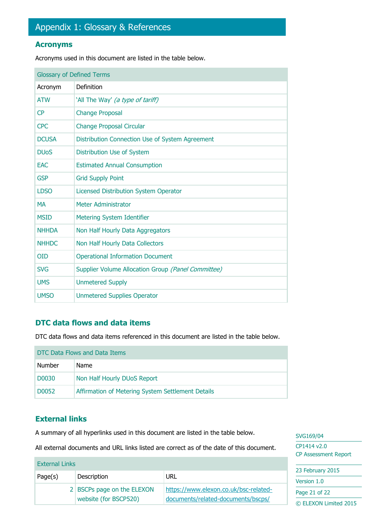#### <span id="page-20-0"></span>**Acronyms**

Acronyms used in this document are listed in the table below.

| <b>Glossary of Defined Terms</b> |                                                    |  |
|----------------------------------|----------------------------------------------------|--|
| Acronym                          | Definition                                         |  |
| <b>ATW</b>                       | 'All The Way' (a type of tariff)                   |  |
| CP                               | <b>Change Proposal</b>                             |  |
| <b>CPC</b>                       | <b>Change Proposal Circular</b>                    |  |
| <b>DCUSA</b>                     | Distribution Connection Use of System Agreement    |  |
| <b>DU<sub>o</sub>S</b>           | Distribution Use of System                         |  |
| <b>EAC</b>                       | <b>Estimated Annual Consumption</b>                |  |
| <b>GSP</b>                       | <b>Grid Supply Point</b>                           |  |
| <b>LDSO</b>                      | Licensed Distribution System Operator              |  |
| <b>MA</b>                        | Meter Administrator                                |  |
| <b>MSID</b>                      | <b>Metering System Identifier</b>                  |  |
| <b>NHHDA</b>                     | Non Half Hourly Data Aggregators                   |  |
| <b>NHHDC</b>                     | Non Half Hourly Data Collectors                    |  |
| <b>OID</b>                       | <b>Operational Information Document</b>            |  |
| <b>SVG</b>                       | Supplier Volume Allocation Group (Panel Committee) |  |
| <b>UMS</b>                       | <b>Unmetered Supply</b>                            |  |
| <b>UMSO</b>                      | <b>Unmetered Supplies Operator</b>                 |  |

#### **DTC data flows and data items**

DTC data flows and data items referenced in this document are listed in the table below.

| DTC Data Flows and Data Items |                                                   |  |
|-------------------------------|---------------------------------------------------|--|
| <b>Number</b>                 | <b>Name</b>                                       |  |
| D0030                         | Non Half Hourly DUoS Report                       |  |
| D0052                         | Affirmation of Metering System Settlement Details |  |

### **External links**

A summary of all hyperlinks used in this document are listed in the table below.

All external documents and URL links listed are correct as of the date of this document.

|                       |                            |                                       | <b>CP Assessment Report</b>  |
|-----------------------|----------------------------|---------------------------------------|------------------------------|
| <b>External Links</b> |                            |                                       |                              |
| Page(s)               | Description                | URL                                   | 23 February 2015             |
|                       | 2 BSCPs page on the ELEXON | https://www.elexon.co.uk/bsc-related- | Version 1.0<br>Page 21 of 22 |
|                       | website (for BSCP520)      | documents/related-documents/bscps/    | © ELEXON Limited 2015        |

SVG169/04 CP1414 v2.0